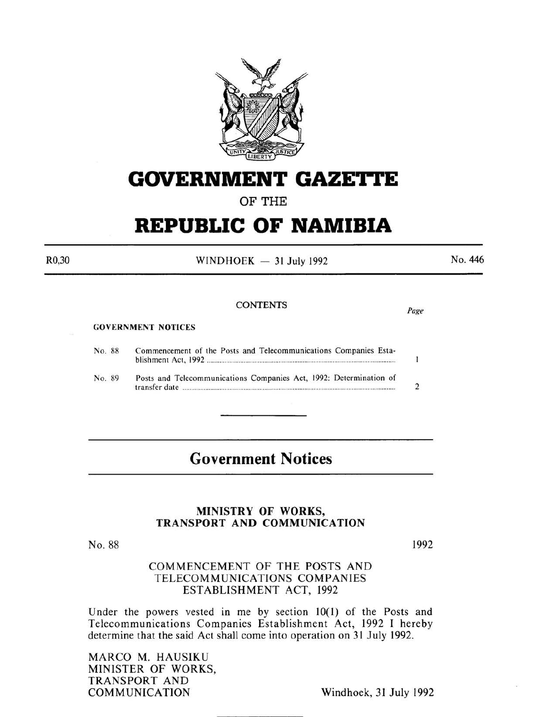

## **GOVERNMENT GAZETTE**

### OF THE

# **REPUBLIC OF NAMIBIA**

WINDHOEK  $-31$  July 1992

CONTENTS *Page* 

No. 446

GOVERNMENT NOTICES No. 88 Commencement of the Posts and Telecommunications Companies Establishment Act, 1992 ........ . .......................... .................................................... .  $\mathbf{1}$ No. 89 Posts and Telecommunications Companies Act, 1992: Determination of transfer date ...................... .................................................................................................. 2

### **Government Notices**

#### MINISTRY OF WORKS, TRANSPORT AND COMMUNICATION

No. 88

1992

#### COMMENCEMENT OF THE POSTS AND TELECOMMUNICATIONS COMPANIES ESTABLISHMENT ACT, 1992

Under the powers vested in me by section  $10(1)$  of the Posts and Telecommunications Companies Establishment Act, 1992 I hereby determine that the said Act shall come into operation on 31 July 1992.

MARCO M. HAUSIKU MINISTER OF WORKS, TRANSPORT AND

Windhoek, 31 July 1992

R0,30